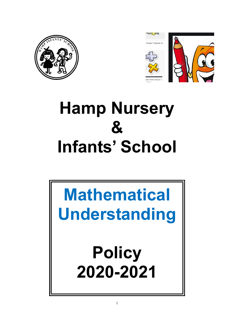



# Hamp Nursery  $\mathbf{g}$ Infants' School

# Mathematical Understanding

**Policy** 2020-2021

1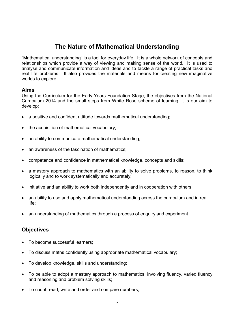# The Nature of Mathematical Understanding

"Mathematical understanding" is a tool for everyday life. It is a whole network of concepts and relationships which provide a way of viewing and making sense of the world. It is used to analyse and communicate information and ideas and to tackle a range of practical tasks and real life problems. It also provides the materials and means for creating new imaginative worlds to explore.

#### Aims

Using the Curriculum for the Early Years Foundation Stage, the objectives from the National Curriculum 2014 and the small steps from White Rose scheme of learning, it is our aim to develop:

- a positive and confident attitude towards mathematical understanding;
- the acquisition of mathematical vocabulary;
- an ability to communicate mathematical understanding;
- an awareness of the fascination of mathematics;
- competence and confidence in mathematical knowledge, concepts and skills;
- a mastery approach to mathematics with an ability to solve problems, to reason, to think logically and to work systematically and accurately;
- initiative and an ability to work both independently and in cooperation with others;
- an ability to use and apply mathematical understanding across the curriculum and in real life;
- an understanding of mathematics through a process of enquiry and experiment.

# **Objectives**

- To become successful learners;
- To discuss maths confidently using appropriate mathematical vocabulary;
- To develop knowledge, skills and understanding;
- To be able to adopt a mastery approach to mathematics, involving fluency, varied fluency and reasoning and problem solving skills;
- To count, read, write and order and compare numbers;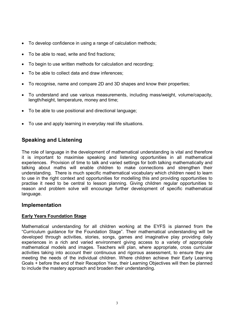- To develop confidence in using a range of calculation methods;
- To be able to read, write and find fractions:
- To begin to use written methods for calculation and recording;
- To be able to collect data and draw inferences;
- To recognise, name and compare 2D and 3D shapes and know their properties;
- To understand and use various measurements, including mass/weight, volume/capacity, length/height, temperature, money and time;
- To be able to use positional and directional language;
- To use and apply learning in everyday real life situations.

# Speaking and Listening

The role of language in the development of mathematical understanding is vital and therefore it is important to maximise speaking and listening opportunities in all mathematical experiences. Provision of time to talk and varied settings for both talking mathematically and talking about maths will enable children to make connections and strengthen their understanding. There is much specific mathematical vocabulary which children need to learn to use in the right context and opportunities for modelling this and providing opportunities to practise it need to be central to lesson planning. Giving children regular opportunities to reason and problem solve will encourage further development of specific mathematical language.

#### Implementation

#### Early Years Foundation Stage

Mathematical understanding for all children working at the EYFS is planned from the "Curriculum guidance for the Foundation Stage". Their mathematical understanding will be developed through activities, stories, songs, games and imaginative play providing daily experiences in a rich and varied environment giving access to a variety of appropriate mathematical models and images. Teachers will plan, where appropriate, cross curricular activities taking into account their continuous and rigorous assessment, to ensure they are meeting the needs of the individual children. Where children achieve their Early Learning Goals + before the end of their Reception Year, their Learning Objectives will then be planned to include the mastery approach and broaden their understanding.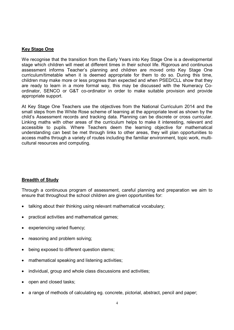#### Key Stage One

We recognise that the transition from the Early Years into Key Stage One is a developmental stage which children will meet at different times in their school life. Rigorous and continuous assessment informs Teacher's planning and children are moved onto Key Stage One curriculum/timetable when it is deemed appropriate for them to do so. During this time, children may make more or less progress than expected and when PSED/CLL show that they are ready to learn in a more formal way, this may be discussed with the Numeracy Coordinator, SENCO or G&T co-ordinator in order to make suitable provision and provide appropriate support.

At Key Stage One Teachers use the objectives from the National Curriculum 2014 and the small steps from the White Rose scheme of learning at the appropriate level as shown by the child's Assessment records and tracking data. Planning can be discrete or cross curricular. Linking maths with other areas of the curriculum helps to make it interesting, relevant and accessible to pupils. Where Teachers deem the learning objective for mathematical understanding can best be met through links to other areas, they will plan opportunities to access maths through a variety of routes including the familiar environment, topic work, multicultural resources and computing.

#### Breadth of Study

Through a continuous program of assessment, careful planning and preparation we aim to ensure that throughout the school children are given opportunities for:

- talking about their thinking using relevant mathematical vocabulary;
- practical activities and mathematical games;
- experiencing varied fluency;
- reasoning and problem solving;
- being exposed to different question stems;
- mathematical speaking and listening activities;
- individual, group and whole class discussions and activities;
- open and closed tasks;
- a range of methods of calculating eg. concrete, pictorial, abstract, pencil and paper;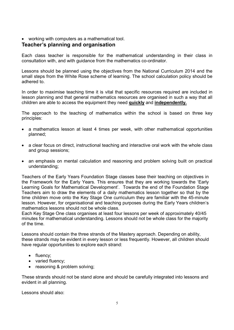working with computers as a mathematical tool.

#### Teacher's planning and organisation

Each class teacher is responsible for the mathematical understanding in their class in consultation with, and with guidance from the mathematics co-ordinator.

Lessons should be planned using the objectives from the National Curriculum 2014 and the small steps from the White Rose scheme of learning. The school calculation policy should be adhered to.

In order to maximise teaching time it is vital that specific resources required are included in lesson planning and that general mathematics resources are organised in such a way that all children are able to access the equipment they need quickly and independently.

The approach to the teaching of mathematics within the school is based on three key principles:

- a mathematics lesson at least 4 times per week, with other mathematical opportunities planned;
- a clear focus on direct, instructional teaching and interactive oral work with the whole class and group sessions;
- an emphasis on mental calculation and reasoning and problem solving built on practical understanding;

Teachers of the Early Years Foundation Stage classes base their teaching on objectives in the Framework for the Early Years. This ensures that they are working towards the 'Early Learning Goals for Mathematical Development'. Towards the end of the Foundation Stage Teachers aim to draw the elements of a daily mathematics lesson together so that by the time children move onto the Key Stage One curriculum they are familiar with the 45-minute lesson. However, for organisational and teaching purposes during the Early Years children's mathematics lessons should not be whole class.

Each Key Stage One class organises at least four lessons per week of approximately 40/45 minutes for mathematical understanding. Lessons should not be whole class for the majority of the time.

Lessons should contain the three strands of the Mastery approach. Depending on ability, these strands may be evident in every lesson or less frequently. However, all children should have regular opportunities to explore each strand:

- fluency;
- varied fluency;
- reasoning & problem solving;

These strands should not be stand alone and should be carefully integrated into lessons and evident in all planning.

Lessons should also: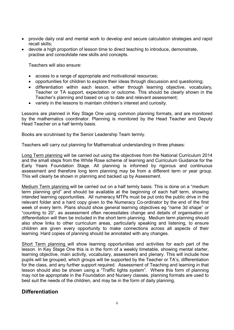- provide daily oral and mental work to develop and secure calculation strategies and rapid recall skills;
- devote a high proportion of lesson time to direct teaching to introduce, demonstrate, practise and consolidate new skills and concepts.

Teachers will also ensure:

- access to a range of appropriate and motivational resources;
- opportunities for children to explore their ideas through discussion and questioning;
- differentiation within each lesson, either through learning objective, vocabulary, Teacher or TA support, expectation or outcome. This should be clearly shown in the Teacher's planning and based on up to date and relevant assessment;
- variety in the lessons to maintain children's interest and curiosity.

Lessons are planned in Key Stage One using common planning formats, and are monitored by the mathematics coordinator. Planning is monitored by the Head Teacher and Deputy Head Teacher on a half termly basis.

Books are scrutinised by the Senior Leadership Team termly.

Teachers will carry out planning for Mathematical understanding in three phases:

Long Term planning will be carried out using the objectives from the National Curriculum 2014 and the small steps from the White Rose scheme of learning and Curriculum Guidance for the Early Years Foundation Stage. All planning is informed by rigorous and continuous assessment and therefore long term planning may be from a different term or year group. This will clearly be shown in planning and backed up by Assessment.

Medium Term planning will be carried out on a half termly basis. This is done on a "medium term planning grid" and should be available at the beginning of each half term, showing intended learning opportunities. All numeracy MTPs must be put onto the public drive in the relevant folder and a hard copy given to the Numeracy Co-ordinator by the end of the first week of every term. Plans should show general learning objectives eg "name 3d shape" or "counting to 20", as assessment often necessitates change and details of organisation or differentiation will then be included in the short term planning. Medium term planning should also show links to other curriculum areas, particularly speaking and listening, to ensure children are given every opportunity to make connections across all aspects of their learning. Hard copies of planning should be annotated with any changes.

Short Term planning will show learning opportunities and activities for each part of the lesson. In Key Stage One this is in the form of a weekly timetable, showing mental starter, learning objective, main activity, vocabulary, assessment and plenary. This will include how pupils will be grouped, which groups will be supported by the Teacher or TA's, differentiation for the class, and any further support required. Assessment of Teaching and learning in that lesson should also be shown using a "Traffic lights system". Where this form of planning may not be appropriate in the Foundation and Nursery classes, planning formats are used to best suit the needs of the children, and may be in the form of daily planning.

# Differentiation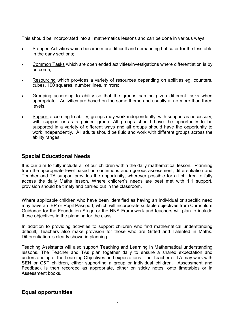This should be incorporated into all mathematics lessons and can be done in various ways:

- Stepped Activities which become more difficult and demanding but cater for the less able in the early sections;
- Common Tasks which are open ended activities/investigations where differentiation is by outcome;
- Resourcing which provides a variety of resources depending on abilities eg. counters, cubes, 100 squares, number lines, mirrors;
- Grouping according to ability so that the groups can be given different tasks when appropriate. Activities are based on the same theme and usually at no more than three levels.
- Support according to ability, groups may work independently, with support as necessary, with support or as a guided group. All groups should have the opportunity to be supported in a variety of different ways and all groups should have the opportunity to work independently. All adults should be fluid and work with different groups across the ability ranges.

# Special Educational Needs

It is our aim to fully include all of our children within the daily mathematical lesson. Planning from the appropriate level based on continuous and rigorous assessment, differentiation and Teacher and TA support provides the opportunity, wherever possible for all children to fully access the daily Maths lesson. Where children's needs are best met with 1:1 support, provision should be timely and carried out in the classroom.

Where applicable children who have been identified as having an individual or specific need may have an IEP or Pupil Passport, which will incorporate suitable objectives from Curriculum Guidance for the Foundation Stage or the NNS Framework and teachers will plan to include these objectives in the planning for the class.

In addition to providing activities to support children who find mathematical understanding difficult, Teachers also make provision for those who are Gifted and Talented in Maths. Differentiation is clearly shown in planning.

Teaching Assistants will also support Teaching and Learning in Mathematical understanding lessons. The Teacher and TAs plan together daily to ensure a shared expectation and understanding of the Learning Objectives and expectations. The Teacher or TA may work with SEN or G&T children, either supporting a group or individual children. Assessment and Feedback is then recorded as appropriate, either on sticky notes, onto timetables or in Assessment books.

# Equal opportunities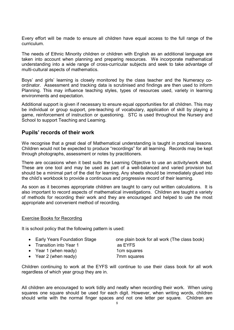Every effort will be made to ensure all children have equal access to the full range of the curriculum.

The needs of Ethnic Minority children or children with English as an additional language are taken into account when planning and preparing resources. We incorporate mathematical understanding into a wide range of cross-curricular subjects and seek to take advantage of multi-cultural aspects of mathematics.

Boys' and girls' learning is closely monitored by the class teacher and the Numeracy coordinator. Assessment and tracking data is scrutinised and findings are then used to inform Planning. This may influence teaching styles, types of resources used, variety in learning environments and expectation.

Additional support is given if necessary to ensure equal opportunities for all children. This may be individual or group support, pre-teaching of vocabulary, application of skill by playing a game, reinforcement of instruction or questioning. STC is used throughout the Nursery and School to support Teaching and Learning.

#### Pupils' records of their work

We recognise that a great deal of Mathematical understanding is taught in practical lessons. Children would not be expected to produce "recordings" for all learning. Records may be kept through photographs, assessment or notes by practitioners.

There are occasions when it best suits the Learning Objective to use an activity/work sheet. These are one tool and may be used as part of a well-balanced and varied provision but should be a minimal part of the diet for learning. Any sheets should be immediately glued into the child's workbook to provide a continuous and progressive record of their learning.

As soon as it becomes appropriate children are taught to carry out written calculations. It is also important to record aspects of mathematical investigations. Children are taught a variety of methods for recording their work and they are encouraged and helped to use the most appropriate and convenient method of recording.

#### Exercise Books for Recording

It is school policy that the following pattern is used:

- Early Years Foundation Stage one plain book for all work (The class book)
- Transition into Year 1 as EYFS
- Year 1 (when ready) 1cm squares
- Year 2 (when ready) 7mm squares

Children continuing to work at the EYFS will continue to use their class book for all work regardless of which year group they are in.

All children are encouraged to work tidily and neatly when recording their work. When using squares one square should be used for each digit. However, when writing words, children should write with the normal finger spaces and not one letter per square. Children are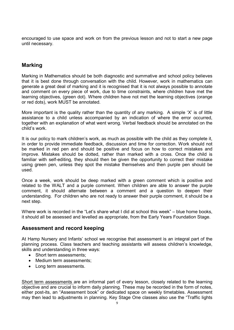encouraged to use space and work on from the previous lesson and not to start a new page until necessary.

### Marking

Marking in Mathematics should be both diagnostic and summative and school policy believes that it is best done through conversation with the child. However, work in mathematics can generate a great deal of marking and it is recognised that it is not always possible to annotate and comment on every piece of work, due to time constraints, where children have met the learning objectives, (green dot). Where children have not met the learning objectives (orange or red dots), work MUST be annotated.

More important is the quality rather than the quantity of any marking. A simple 'X' is of little assistance to a child unless accompanied by an indication of where the error occurred, together with an explanation of what went wrong. Verbal feedback should be annotated on the child's work.

It is our policy to mark children's work, as much as possible with the child as they complete it, in order to provide immediate feedback, discussion and time for correction. Work should not be marked in red pen and should be positive and focus on how to correct mistakes and improve. Mistakes should be dotted, rather than marked with a cross. Once the child is familiar with self-editing, they should then be given the opportunity to correct their mistake using green pen, unless they spot the mistake themselves and then purple pen should be used.

Once a week, work should be deep marked with a green comment which is positive and related to the WALT and a purple comment. When children are able to answer the purple comment, it should alternate between a comment and a question to deepen their understanding. For children who are not ready to answer their purple comment, it should be a next step.

Where work is recorded in the "Let's share what I did at school this week" – blue home books, it should all be assessed and levelled as appropriate, from the Early Years Foundation Stage.

#### Assessment and record keeping

At Hamp Nursery and Infants' school we recognise that assessment is an integral part of the planning process. Class teachers and teaching assistants will assess children's knowledge, skills and understanding in three ways:

- Short term assessments:
- Medium term assessments:
- Long term assessments.

Short term assessments are an informal part of every lesson, closely related to the learning objective and are crucial to inform daily planning. These may be recorded in the form of notes, either post-its, an "Assessment book" or dedicated space on weekly timetables. Assessment may then lead to adjustments in planning. Key Stage One classes also use the "Traffic lights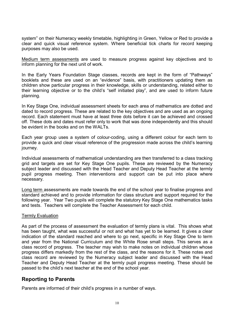system" on their Numeracy weekly timetable, highlighting in Green, Yellow or Red to provide a clear and quick visual reference system. Where beneficial tick charts for record keeping purposes may also be used.

Medium term assessments are used to measure progress against key objectives and to inform planning for the next unit of work.

In the Early Years Foundation Stage classes, records are kept in the form of "Pathways" booklets and these are used on an "evidence" basis, with practitioners updating them as children show particular progress in their knowledge, skills or understanding, related either to their learning objective or to the child's "self initiated play", and are used to inform future planning.

In Key Stage One, individual assessment sheets for each area of mathematics are dotted and dated to record progress. These are related to the key objectives and are used as an ongoing record. Each statement must have at least three dots before it can be achieved and crossed off. These dots and dates must refer only to work that was done independently and this should be evident in the books and on the WALTs.

Each year group uses a system of colour-coding, using a different colour for each term to provide a quick and clear visual reference of the progression made across the child's learning journey.

Individual assessments of mathematical understanding are then transferred to a class tracking grid and targets are set for Key Stage One pupils. These are reviewed by the Numeracy subject leader and discussed with the Head Teacher and Deputy Head Teacher at the termly pupil progress meeting. Then interventions and support can be put into place where necessary.

Long term assessments are made towards the end of the school year to finalise progress and standard achieved and to provide information for class structure and support required for the following year. Year Two pupils will complete the statutory Key Stage One mathematics tasks and tests. Teachers will complete the Teacher Assessment for each child.

#### Termly Evaluation

As part of the process of assessment the evaluation of termly plans is vital. This shows what has been taught, what was successful or not and what has yet to be learned. It gives a clear indication of the standard reached and where to go next, specific in Key Stage One to term and year from the National Curriculum and the White Rose small steps. This serves as a class record of progress. The teacher may wish to make notes on individual children whose progress differs markedly from the rest of the class, and the reasons for it. These notes and class record are reviewed by the Numeracy subject leader and discussed with the Head Teacher and Deputy Head Teacher at the termly pupil progress meeting. These should be passed to the child's next teacher at the end of the school year.

#### Reporting to Parents

Parents are informed of their child's progress in a number of ways.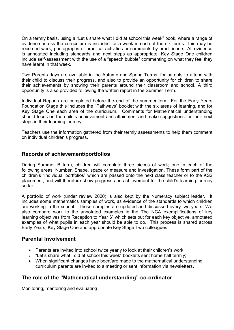On a termly basis, using a "Let's share what I did at school this week" book, where a range of evidence across the curriculum is included for a week in each of the six terms. This may be recorded work, photographs of practical activities or comments by practitioners. All evidence is annotated including standards and next steps as appropriate. Key Stage One children include self-assessment with the use of a "speech bubble" commenting on what they feel they have learnt in that week.

Two Parents days are available in the Autumn and Spring Terms, for parents to attend with their child to discuss their progress, and also to provide an opportunity for children to share their achievements by showing their parents around their classroom and school. A third opportunity is also provided following the written report in the Summer Term.

Individual Reports are completed before the end of the summer term. For the Early Years Foundation Stage this includes the "Pathways" booklet with the six areas of learning, and for Key Stage One each area of the curriculum. Comments for Mathematical understanding should focus on the child's achievement and attainment and make suggestions for their next steps in their learning journey.

Teachers use the information gathered from their termly assessments to help them comment on individual children's progress.

# Records of achievement/portfolios

During Summer B term, children will complete three pieces of work; one in each of the following areas: Number, Shape, space or measure and investigation. These form part of the children's "individual portfolios" which are passed onto the next class teacher or to the KS2 placement, and will therefore show progress and achievement for the child's learning journey so far.

A portfolio of work (under review 2020) is also kept by the Numeracy subject leader. It includes some mathematics samples of work, as evidence of the standards to which children are working in the school. These samples are updated and discussed every two years. We also compare work to the annotated examples in the The NCA exemplifications of key learning objectives from Reception to Year 6" which sets out for each key objective, annotated examples of what pupils in each year should be able to do. This process is shared across Early Years, Key Stage One and appropriate Key Stage Two colleagues

# Parental Involvement

- Parents are invited into school twice yearly to look at their children's work;
- "Let's share what I did at school this week" booklets sent home half termly;
- When significant changes have been/are made to the mathematical understanding curriculum parents are invited to a meeting or sent information via newsletters.

# The role of the "Mathematical understanding" co-ordinator

Monitoring, mentoring and evaluating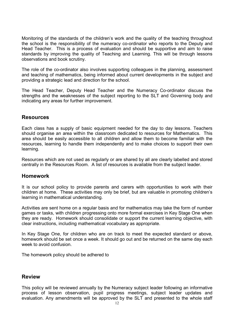Monitoring of the standards of the children's work and the quality of the teaching throughout the school is the responsibility of the numeracy co-ordinator who reports to the Deputy and Head Teacher. This is a process of evaluation and should be supportive and aim to raise standards by improving the quality of Teaching and Learning. This will be through lessons observations and book scrutiny.

The role of the co-ordinator also involves supporting colleagues in the planning, assessment and teaching of mathematics, being informed about current developments in the subject and providing a strategic lead and direction for the school.

The Head Teacher, Deputy Head Teacher and the Numeracy Co-ordinator discuss the strengths and the weaknesses of the subject reporting to the SLT and Governing body and indicating any areas for further improvement.

#### Resources

Each class has a supply of basic equipment needed for the day to day lessons. Teachers should organise an area within the classroom dedicated to resources for Mathematics. This area should be easily accessible to all children and allow them to become familiar with the resources, learning to handle them independently and to make choices to support their own learning.

Resources which are not used as regularly or are shared by all are clearly labelled and stored centrally in the Resources Room. A list of resources is available from the subject leader.

#### Homework

It is our school policy to provide parents and carers with opportunities to work with their children at home. These activities may only be brief, but are valuable in promoting children's learning in mathematical understanding.

Activities are sent home on a regular basis and for mathematics may take the form of number games or tasks, with children progressing onto more formal exercises in Key Stage One when they are ready. Homework should consolidate or support the current learning objective, with clear instructions, including mathematical vocabulary as appropriate.

In Key Stage One, for children who are on track to meet the expected standard or above, homework should be set once a week. It should go out and be returned on the same day each week to avoid confusion.

The homework policy should be adhered to

# Review

This policy will be reviewed annually by the Numeracy subject leader following an informative process of lesson observation, pupil progress meetings, subject leader updates and evaluation. Any amendments will be approved by the SLT and presented to the whole staff